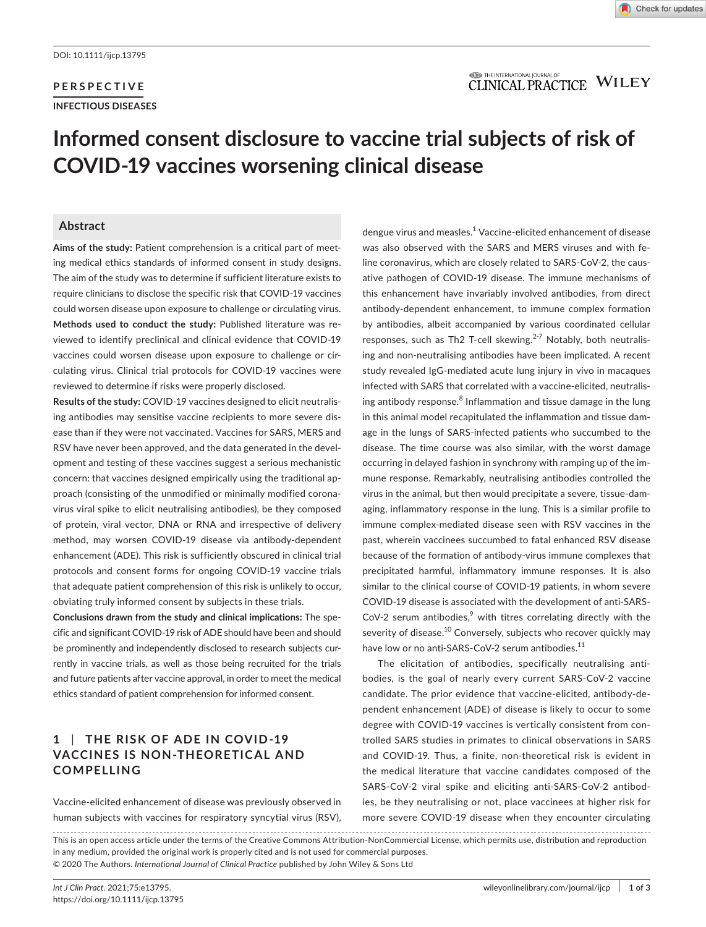## **PERSPECTIVE INFECTIOUS DISEASES**

#### **ITED** THE INTERNATIONAL JOURNAL OF **CLINICAL PRACTICE WILEY**

# **Informed consent disclosure to vaccine trial subjects of risk of COVID-19 vaccines worsening clinical disease**

#### **Abstract**

Aims of the study: Patient comprehension is a critical part of meeting medical ethics standards of informed consent in study designs. The aim of the study was to determine if sufficient literature exists to require clinicians to disclose the specific risk that COVID-19 vaccines could worsen disease upon exposure to challenge or circulating virus. **Methods used to conduct the study:** Published literature was reviewed to identify preclinical and clinical evidence that COVID-19 vaccines could worsen disease upon exposure to challenge or circulating virus. Clinical trial protocols for COVID-19 vaccines were reviewed to determine if risks were properly disclosed.

**Results of the study:** COVID-19 vaccines designed to elicit neutralising antibodies may sensitise vaccine recipients to more severe disease than if they were not vaccinated. Vaccines for SARS, MERS and RSV have never been approved, and the data generated in the development and testing of these vaccines suggest a serious mechanistic concern: that vaccines designed empirically using the traditional approach (consisting of the unmodified or minimally modified coronavirus viral spike to elicit neutralising antibodies), be they composed of protein, viral vector, DNA or RNA and irrespective of delivery method, may worsen COVID-19 disease via antibody-dependent enhancement (ADE). This risk is sufficiently obscured in clinical trial protocols and consent forms for ongoing COVID-19 vaccine trials that adequate patient comprehension of this risk is unlikely to occur, obviating truly informed consent by subjects in these trials.

**Conclusions drawn from the study and clinical implications:** The specific and significant COVID-19 risk of ADE should have been and should be prominently and independently disclosed to research subjects currently in vaccine trials, as well as those being recruited for the trials and future patients after vaccine approval, in order to meet the medical ethics standard of patient comprehension for informed consent.

## **1** | **THE RISK OF ADE IN COVID -19 VACCINES IS NON-THEORETICAL AND COMPELLING**

Vaccine-elicited enhancement of disease was previously observed in human subjects with vaccines for respiratory syncytial virus (RSV),

dengue virus and measles.<sup>1</sup> Vaccine-elicited enhancement of disease was also observed with the SARS and MERS viruses and with feline coronavirus, which are closely related to SARS-CoV-2, the causative pathogen of COVID-19 disease. The immune mechanisms of this enhancement have invariably involved antibodies, from direct antibody-dependent enhancement, to immune complex formation by antibodies, albeit accompanied by various coordinated cellular responses, such as Th2 T-cell skewing. $2-7$  Notably, both neutralising and non-neutralising antibodies have been implicated. A recent study revealed IgG-mediated acute lung injury in vivo in macaques infected with SARS that correlated with a vaccine-elicited, neutralising antibody response. $^8$  Inflammation and tissue damage in the lung in this animal model recapitulated the inflammation and tissue damage in the lungs of SARS-infected patients who succumbed to the disease. The time course was also similar, with the worst damage occurring in delayed fashion in synchrony with ramping up of the immune response. Remarkably, neutralising antibodies controlled the virus in the animal, but then would precipitate a severe, tissue-damaging, inflammatory response in the lung. This is a similar profile to immune complex-mediated disease seen with RSV vaccines in the past, wherein vaccinees succumbed to fatal enhanced RSV disease because of the formation of antibody-virus immune complexes that precipitated harmful, inflammatory immune responses. It is also similar to the clinical course of COVID-19 patients, in whom severe COVID-19 disease is associated with the development of anti-SARS- $CoV-2$  serum antibodies,<sup>9</sup> with titres correlating directly with the severity of disease.<sup>10</sup> Conversely, subjects who recover quickly may have low or no anti-SARS-CoV-2 serum antibodies.<sup>11</sup>

The elicitation of antibodies, specifically neutralising antibodies, is the goal of nearly every current SARS-CoV-2 vaccine candidate. The prior evidence that vaccine-elicited, antibody-dependent enhancement (ADE) of disease is likely to occur to some degree with COVID-19 vaccines is vertically consistent from controlled SARS studies in primates to clinical observations in SARS and COVID-19. Thus, a finite, non-theoretical risk is evident in the medical literature that vaccine candidates composed of the SARS-CoV-2 viral spike and eliciting anti-SARS-CoV-2 antibodies, be they neutralising or not, place vaccinees at higher risk for more severe COVID-19 disease when they encounter circulating

This is an open access article under the terms of the [Creative Commons Attribution-NonCommercial](http://creativecommons.org/licenses/by-nc/4.0/) License, which permits use, distribution and reproduction in any medium, provided the original work is properly cited and is not used for commercial purposes. © 2020 The Authors. *International Journal of Clinical Practice* published by John Wiley & Sons Ltd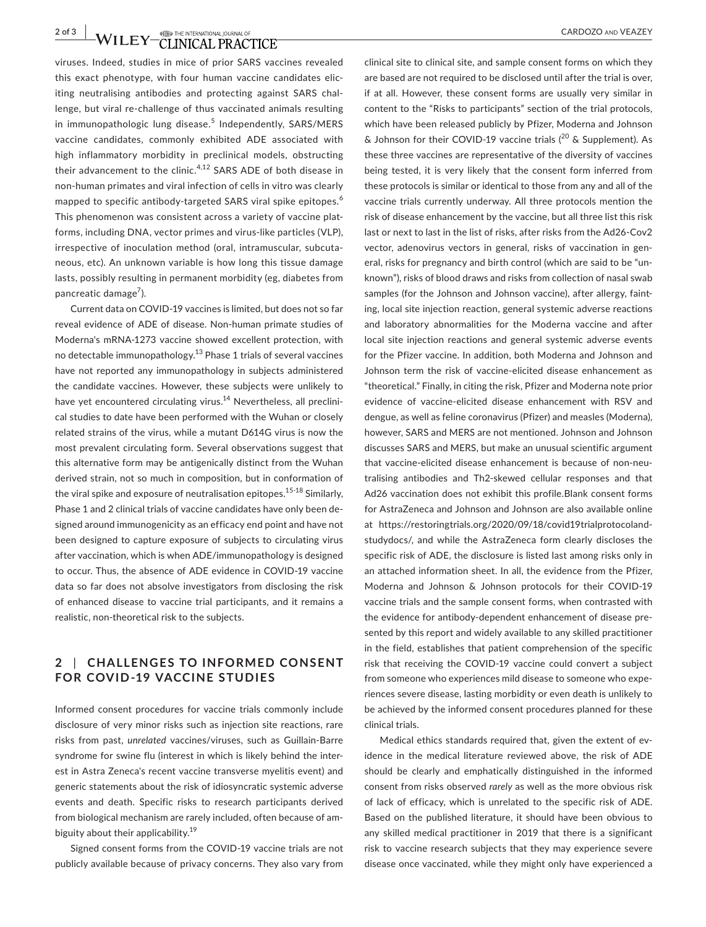**2 of 3**  $\blacksquare$  **WILEY** CLINICAL PRACTICE CARDOZO AND VEAZEY

viruses. Indeed, studies in mice of prior SARS vaccines revealed this exact phenotype, with four human vaccine candidates eliciting neutralising antibodies and protecting against SARS challenge, but viral re-challenge of thus vaccinated animals resulting in immunopathologic lung disease.<sup>5</sup> Independently, SARS/MERS vaccine candidates, commonly exhibited ADE associated with high inflammatory morbidity in preclinical models, obstructing their advancement to the clinic. $4,12$  SARS ADE of both disease in non-human primates and viral infection of cells in vitro was clearly mapped to specific antibody-targeted SARS viral spike epitopes.<sup>6</sup> This phenomenon was consistent across a variety of vaccine platforms, including DNA, vector primes and virus-like particles (VLP), irrespective of inoculation method (oral, intramuscular, subcutaneous, etc). An unknown variable is how long this tissue damage lasts, possibly resulting in permanent morbidity (eg, diabetes from pancreatic damage<sup>7</sup>).

Current data on COVID-19 vaccines is limited, but does not so far reveal evidence of ADE of disease. Non-human primate studies of Moderna's mRNA-1273 vaccine showed excellent protection, with no detectable immunopathology.<sup>13</sup> Phase 1 trials of several vaccines have not reported any immunopathology in subjects administered the candidate vaccines. However, these subjects were unlikely to have yet encountered circulating virus.<sup>14</sup> Nevertheless, all preclinical studies to date have been performed with the Wuhan or closely related strains of the virus, while a mutant D614G virus is now the most prevalent circulating form. Several observations suggest that this alternative form may be antigenically distinct from the Wuhan derived strain, not so much in composition, but in conformation of the viral spike and exposure of neutralisation epitopes.<sup>15-18</sup> Similarly. Phase 1 and 2 clinical trials of vaccine candidates have only been designed around immunogenicity as an efficacy end point and have not been designed to capture exposure of subjects to circulating virus after vaccination, which is when ADE/immunopathology is designed to occur. Thus, the absence of ADE evidence in COVID-19 vaccine data so far does not absolve investigators from disclosing the risk of enhanced disease to vaccine trial participants, and it remains a realistic, non-theoretical risk to the subjects.

## **2** | **CHALLENGES TO INFORMED CONSENT FOR COVID-19 VACCINE STUDIES**

Informed consent procedures for vaccine trials commonly include disclosure of very minor risks such as injection site reactions, rare risks from past, *unrelated* vaccines/viruses, such as Guillain-Barre syndrome for swine flu (interest in which is likely behind the interest in Astra Zeneca's recent vaccine transverse myelitis event) and generic statements about the risk of idiosyncratic systemic adverse events and death. Specific risks to research participants derived from biological mechanism are rarely included, often because of ambiguity about their applicability.<sup>19</sup>

Signed consent forms from the COVID-19 vaccine trials are not publicly available because of privacy concerns. They also vary from

clinical site to clinical site, and sample consent forms on which they are based are not required to be disclosed until after the trial is over, if at all. However, these consent forms are usually very similar in content to the "Risks to participants" section of the trial protocols, which have been released publicly by Pfizer, Moderna and Johnson  $\&$  Johnson for their COVID-19 vaccine trials ( $^{20}$  & Supplement). As these three vaccines are representative of the diversity of vaccines being tested, it is very likely that the consent form inferred from these protocols is similar or identical to those from any and all of the vaccine trials currently underway. All three protocols mention the risk of disease enhancement by the vaccine, but all three list this risk last or next to last in the list of risks, after risks from the Ad26-Cov2 vector, adenovirus vectors in general, risks of vaccination in general, risks for pregnancy and birth control (which are said to be "unknown"), risks of blood draws and risks from collection of nasal swab samples (for the Johnson and Johnson vaccine), after allergy, fainting, local site injection reaction, general systemic adverse reactions and laboratory abnormalities for the Moderna vaccine and after local site injection reactions and general systemic adverse events for the Pfizer vaccine. In addition, both Moderna and Johnson and Johnson term the risk of vaccine-elicited disease enhancement as "theoretical." Finally, in citing the risk, Pfizer and Moderna note prior evidence of vaccine-elicited disease enhancement with RSV and dengue, as well as feline coronavirus (Pfizer) and measles (Moderna), however, SARS and MERS are not mentioned. Johnson and Johnson discusses SARS and MERS, but make an unusual scientific argument that vaccine-elicited disease enhancement is because of non-neutralising antibodies and Th2-skewed cellular responses and that Ad26 vaccination does not exhibit this profile.Blank consent forms for AstraZeneca and Johnson and Johnson are also available online at https://restoringtrials.org/2020/09/18/covid19trialprotocolandstudydocs/, and while the AstraZeneca form clearly discloses the specific risk of ADE, the disclosure is listed last among risks only in an attached information sheet. In all, the evidence from the Pfizer, Moderna and Johnson & Johnson protocols for their COVID-19 vaccine trials and the sample consent forms, when contrasted with the evidence for antibody-dependent enhancement of disease presented by this report and widely available to any skilled practitioner in the field, establishes that patient comprehension of the specific risk that receiving the COVID-19 vaccine could convert a subject from someone who experiences mild disease to someone who experiences severe disease, lasting morbidity or even death is unlikely to be achieved by the informed consent procedures planned for these clinical trials.

Medical ethics standards required that, given the extent of evidence in the medical literature reviewed above, the risk of ADE should be clearly and emphatically distinguished in the informed consent from risks observed *rarely* as well as the more obvious risk of lack of efficacy, which is unrelated to the specific risk of ADE. Based on the published literature, it should have been obvious to any skilled medical practitioner in 2019 that there is a significant risk to vaccine research subjects that they may experience severe disease once vaccinated, while they might only have experienced a